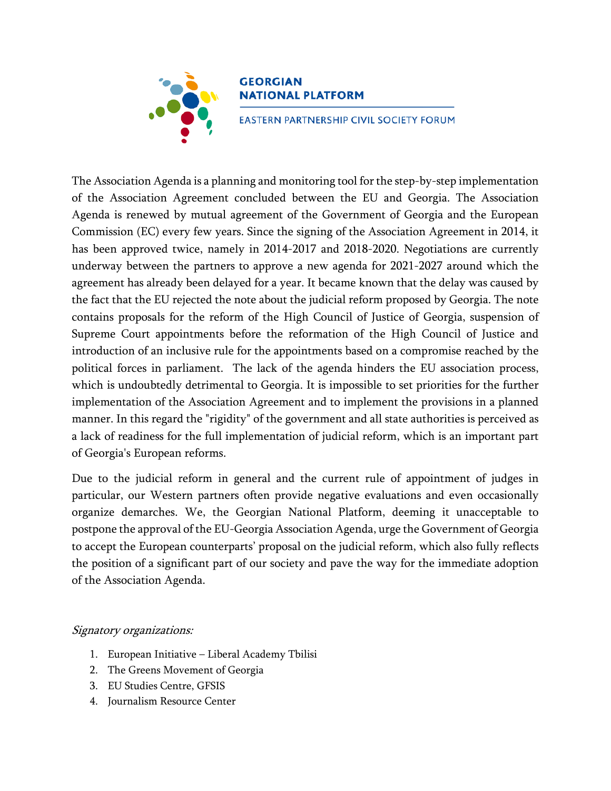

## **GEORGIAN NATIONAL PLATFORM**

EASTERN PARTNERSHIP CIVIL SOCIETY FORUM

The Association Agenda is a planning and monitoring tool for the step-by-step implementation of the Association Agreement concluded between the EU and Georgia. The Association Agenda is renewed by mutual agreement of the Government of Georgia and the European Commission (EC) every few years. Since the signing of the Association Agreement in 2014, it has been approved twice, namely in 2014-2017 and 2018-2020. Negotiations are currently underway between the partners to approve a new agenda for 2021-2027 around which the agreement has already been delayed for a year. It became known that the delay was caused by the fact that the EU rejected the note about the judicial reform proposed by Georgia. The note contains proposals for the reform of the High Council of Justice of Georgia, suspension of Supreme Court appointments before the reformation of the High Council of Justice and introduction of an inclusive rule for the appointments based on a compromise reached by the political forces in parliament. The lack of the agenda hinders the EU association process, which is undoubtedly detrimental to Georgia. It is impossible to set priorities for the further implementation of the Association Agreement and to implement the provisions in a planned manner. In this regard the "rigidity" of the government and all state authorities is perceived as a lack of readiness for the full implementation of judicial reform, which is an important part of Georgia's European reforms.

Due to the judicial reform in general and the current rule of appointment of judges in particular, our Western partners often provide negative evaluations and even occasionally organize demarches. We, the Georgian National Platform, deeming it unacceptable to postpone the approval of the EU-Georgia Association Agenda, urge the Government of Georgia to accept the European counterparts' proposal on the judicial reform, which also fully reflects the position of a significant part of our society and pave the way for the immediate adoption of the Association Agenda.

## Signatory organizations:

- 1. European Initiative Liberal Academy Tbilisi
- 2. The Greens Movement of Georgia
- 3. EU Studies Centre, GFSIS
- 4. Journalism Resource Center